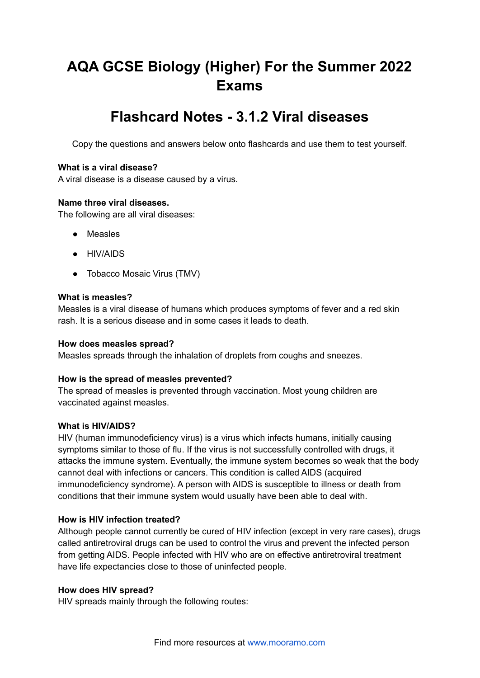# **AQA GCSE Biology (Higher) For the Summer 2022 Exams**

# **Flashcard Notes - 3.1.2 Viral diseases**

Copy the questions and answers below onto flashcards and use them to test yourself.

## **What is a viral disease?**

A viral disease is a disease caused by a virus.

#### **Name three viral diseases.**

The following are all viral diseases:

- **●** Measles
- **●** HIV/AIDS
- **●** Tobacco Mosaic Virus (TMV)

## **What is measles?**

Measles is a viral disease of humans which produces symptoms of fever and a red skin rash. It is a serious disease and in some cases it leads to death.

#### **How does measles spread?**

Measles spreads through the inhalation of droplets from coughs and sneezes.

# **How is the spread of measles prevented?**

The spread of measles is prevented through vaccination. Most young children are vaccinated against measles.

#### **What is HIV/AIDS?**

HIV (human immunodeficiency virus) is a virus which infects humans, initially causing symptoms similar to those of flu. If the virus is not successfully controlled with drugs, it attacks the immune system. Eventually, the immune system becomes so weak that the body cannot deal with infections or cancers. This condition is called AIDS (acquired immunodeficiency syndrome). A person with AIDS is susceptible to illness or death from conditions that their immune system would usually have been able to deal with.

# **How is HIV infection treated?**

Although people cannot currently be cured of HIV infection (except in very rare cases), drugs called antiretroviral drugs can be used to control the virus and prevent the infected person from getting AIDS. People infected with HIV who are on effective antiretroviral treatment have life expectancies close to those of uninfected people.

#### **How does HIV spread?**

HIV spreads mainly through the following routes: